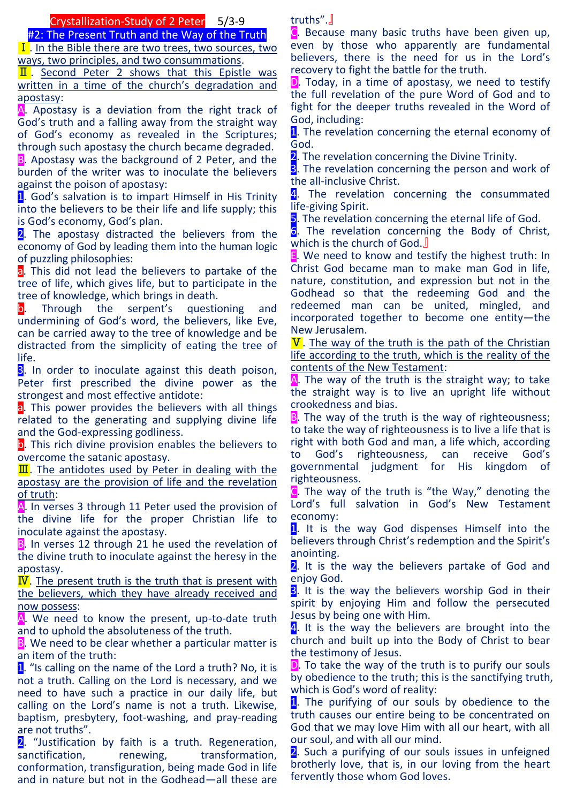## Crystallization-Study of 2 Peter 5/3-9

#2: The Present Truth and the Way of the Truth

Ⅰ. In the Bible there are two trees, two sources, two ways, two principles, and two consummations.

**II.** Second Peter 2 shows that this Epistle was written in a time of the church's degradation and apostasy:

A. Apostasy is a deviation from the right track of God's truth and a falling away from the straight way of God's economy as revealed in the Scriptures; through such apostasy the church became degraded. **B.** Apostasy was the background of 2 Peter, and the burden of the writer was to inoculate the believers against the poison of apostasy:

1. God's salvation is to impart Himself in His Trinity into the believers to be their life and life supply; this is God's economy, God's plan.

2. The apostasy distracted the believers from the economy of God by leading them into the human logic of puzzling philosophies:

a. This did not lead the believers to partake of the tree of life, which gives life, but to participate in the tree of knowledge, which brings in death.

b. Through the serpent's questioning and undermining of God's word, the believers, like Eve, can be carried away to the tree of knowledge and be distracted from the simplicity of eating the tree of life.

**3.** In order to inoculate against this death poison, Peter first prescribed the divine power as the strongest and most effective antidote:

a. This power provides the believers with all things related to the generating and supplying divine life and the God-expressing godliness.

b. This rich divine provision enables the believers to overcome the satanic apostasy.

 $\overline{\mathbf{II}}$ . The antidotes used by Peter in dealing with the apostasy are the provision of life and the revelation of truth:

A. In verses 3 through 11 Peter used the provision of the divine life for the proper Christian life to inoculate against the apostasy.

B. In verses 12 through 21 he used the revelation of the divine truth to inoculate against the heresy in the apostasy.

**. The present truth is the truth that is present with** the believers, which they have already received and now possess:

A. We need to know the present, up-to-date truth and to uphold the absoluteness of the truth.

B. We need to be clear whether a particular matter is an item of the truth:

1. "Is calling on the name of the Lord a truth? No, it is not a truth. Calling on the Lord is necessary, and we need to have such a practice in our daily life, but calling on the Lord's name is not a truth. Likewise, baptism, presbytery, foot-washing, and pray-reading are not truths".

2. "Justification by faith is a truth. Regeneration, sanctification, renewing, transformation, conformation, transfiguration, being made God in life and in nature but not in the Godhead—all these are truths".』

C. Because many basic truths have been given up, even by those who apparently are fundamental believers, there is the need for us in the Lord's recovery to fight the battle for the truth.

**D**. Today, in a time of apostasy, we need to testify the full revelation of the pure Word of God and to fight for the deeper truths revealed in the Word of God, including:

1. The revelation concerning the eternal economy of God.

2. The revelation concerning the Divine Trinity.

**3**. The revelation concerning the person and work of the all-inclusive Christ.

4. The revelation concerning the consummated life-giving Spirit.

**5**. The revelation concerning the eternal life of God.

6. The revelation concerning the Body of Christ, which is the church of God.』

E. We need to know and testify the highest truth: In Christ God became man to make man God in life, nature, constitution, and expression but not in the Godhead so that the redeeming God and the redeemed man can be united, mingled, and incorporated together to become one entity—the New Jerusalem.

 $V$ . The way of the truth is the path of the Christian life according to the truth, which is the reality of the contents of the New Testament:

A. The way of the truth is the straight way; to take the straight way is to live an upright life without crookedness and bias.

**B**. The way of the truth is the way of righteousness; to take the way of righteousness is to live a life that is right with both God and man, a life which, according to God's righteousness, can receive God's governmental judgment for His kingdom of righteousness.

C. The way of the truth is "the Way," denoting the Lord's full salvation in God's New Testament economy:

1. It is the way God dispenses Himself into the believers through Christ's redemption and the Spirit's anointing.

2. It is the way the believers partake of God and enjoy God.

**3.** It is the way the believers worship God in their spirit by enjoying Him and follow the persecuted Jesus by being one with Him.

4. It is the way the believers are brought into the church and built up into the Body of Christ to bear the testimony of Jesus.

**D**. To take the way of the truth is to purify our souls by obedience to the truth; this is the sanctifying truth, which is God's word of reality:

1. The purifying of our souls by obedience to the truth causes our entire being to be concentrated on God that we may love Him with all our heart, with all our soul, and with all our mind.

2. Such a purifying of our souls issues in unfeigned brotherly love, that is, in our loving from the heart fervently those whom God loves.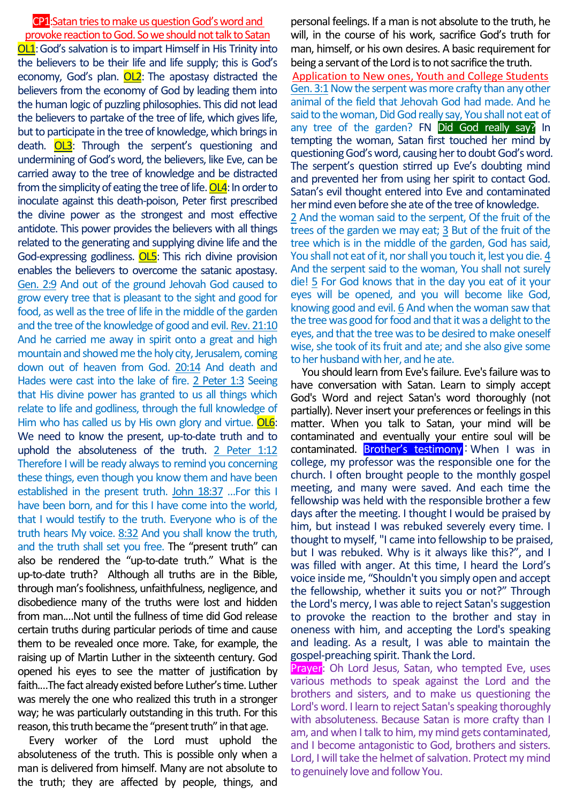## CP1:Satan tries to make us question God's word and provoke reaction to God. So we should not talk to Satan

OL1:God's salvation is to impart Himself in His Trinity into the believers to be their life and life supply; this is God's economy, God's plan. OL2: The apostasy distracted the believers from the economy of God by leading them into the human logic of puzzling philosophies. This did not lead the believers to partake of the tree of life, which gives life, but to participate in the tree of knowledge, which brings in death. OL3: Through the serpent's questioning and undermining of God's word, the believers, like Eve, can be carried away to the tree of knowledge and be distracted from the simplicity of eating the tree of life.  $OL4$ : In order to inoculate against this death-poison, Peter first prescribed the divine power as the strongest and most effective antidote. This power provides the believers with all things related to the generating and supplying divine life and the God-expressing godliness. OL5: This rich divine provision enables the believers to overcome the satanic apostasy. Gen. 2:9 And out of the ground Jehovah God caused to grow every tree that is pleasant to the sight and good for food, as well as the tree of life in the middle of the garden and the tree of the knowledge of good and evil. Rev. 21:10 And he carried me away in spirit onto a great and high mountain and showed me the holy city, Jerusalem, coming down out of heaven from God. 20:14 And death and Hades were cast into the lake of fire. 2 Peter 1:3 Seeing that His divine power has granted to us all things which relate to life and godliness, through the full knowledge of Him who has called us by His own glory and virtue. OL6: We need to know the present, up-to-date truth and to uphold the absoluteness of the truth. 2 Peter 1:12 Therefore I will be ready always to remind you concerning these things, even though you know them and have been established in the present truth. John 18:37 …For this I have been born, and for this I have come into the world, that I would testify to the truth. Everyone who is of the truth hears My voice. 8:32 And you shall know the truth, and the truth shall set you free. The "present truth" can also be rendered the "up-to-date truth." What is the up-to-date truth? Although all truths are in the Bible, through man's foolishness, unfaithfulness, negligence, and disobedience many of the truths were lost and hidden from man.…Not until the fullness of time did God release certain truths during particular periods of time and cause them to be revealed once more. Take, for example, the raising up of Martin Luther in the sixteenth century. God opened his eyes to see the matter of justification by faith.…The fact already existed before Luther's time. Luther was merely the one who realized this truth in a stronger way; he was particularly outstanding in this truth. For this reason, this truth became the "present truth" in that age.

Every worker of the Lord must uphold the absoluteness of the truth. This is possible only when a man is delivered from himself. Many are not absolute to the truth; they are affected by people, things, and

personal feelings. If a man is not absolute to the truth, he will, in the course of his work, sacrifice God's truth for man, himself, or his own desires. A basic requirement for being a servant of the Lord is to not sacrifice the truth. Application to New ones, Youth and College Students Gen. 3:1 Now the serpent was more crafty than any other animal of the field that Jehovah God had made. And he said to the woman, Did God really say, You shall not eat of any tree of the garden? FN Did God really say? In tempting the woman, Satan first touched her mind by questioning God's word, causing her to doubt God's word. The serpent's question stirred up Eve's doubting mind and prevented her from using her spirit to contact God. Satan's evil thought entered into Eve and contaminated her mind even before she ate of the tree of knowledge. 2 And the woman said to the serpent, Of the fruit of the trees of the garden we may eat; 3 But of the fruit of the tree which is in the middle of the garden, God has said, You shall not eat of it, nor shall you touch it, lest you die. 4 And the serpent said to the woman, You shall not surely die! 5 For God knows that in the day you eat of it your eyes will be opened, and you will become like God, knowing good and evil.  $6$  And when the woman saw that the tree was good for food and that it was a delight to the eyes, and that the tree was to be desired to make oneself wise, she took of its fruit and ate; and she also give some to her husband with her, and he ate.

You should learn from Eve's failure. Eve's failure was to have conversation with Satan. Learn to simply accept God's Word and reject Satan's word thoroughly (not partially). Never insert your preferences or feelings in this matter. When you talk to Satan, your mind will be contaminated and eventually your entire soul will be contaminated. **Brother's testimony**: When I was in college, my professor was the responsible one for the church. I often brought people to the monthly gospel meeting, and many were saved. And each time the fellowship was held with the responsible brother a few days after the meeting. I thought I would be praised by him, but instead I was rebuked severely every time. I thought to myself, "I came into fellowship to be praised, but I was rebuked. Why is it always like this?", and I was filled with anger. At this time, I heard the Lord's voice inside me, "Shouldn't you simply open and accept the fellowship, whether it suits you or not?" Through the Lord's mercy, I was able to reject Satan's suggestion to provoke the reaction to the brother and stay in oneness with him, and accepting the Lord's speaking and leading. As a result, I was able to maintain the gospel-preaching spirit. Thank the Lord.

Prayer: Oh Lord Jesus, Satan, who tempted Eve, uses various methods to speak against the Lord and the brothers and sisters, and to make us questioning the Lord's word. I learn to reject Satan's speaking thoroughly with absoluteness. Because Satan is more crafty than I am, and when I talk to him, my mind gets contaminated, and I become antagonistic to God, brothers and sisters. Lord, I will take the helmet of salvation. Protect my mind to genuinely love and follow You.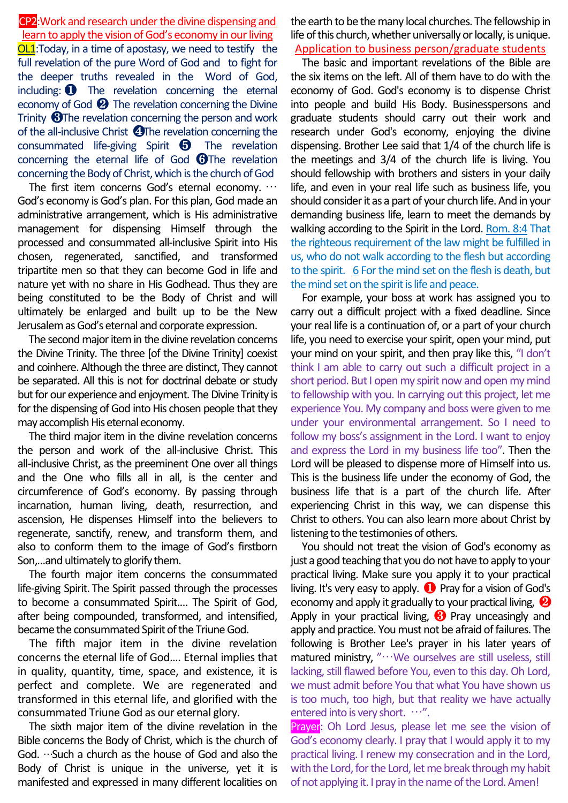CP2:Work and research under the divine dispensing and learn to apply the vision of God's economy in our living OL1:Today, in a time of apostasy, we need to testify the full revelation of the pure Word of God and to fight for the deeper truths revealed in the Word of God, including: ❶ The revelation concerning the eternal economy of God ❷ The revelation concerning the Divine Trinity ❸The revelation concerning the person and work of the all-inclusive Christ ❹The revelation concerning the consummated life-giving Spirit ❺ The revelation concerning the eternal life of God  $\bigoplus$ The revelation concerning the Body of Christ, which is the church of God

The first item concerns God's eternal economy. … God's economy is God's plan. For this plan, God made an administrative arrangement, which is His administrative management for dispensing Himself through the processed and consummated all-inclusive Spirit into His chosen, regenerated, sanctified, and transformed tripartite men so that they can become God in life and nature yet with no share in His Godhead. Thus they are being constituted to be the Body of Christ and will ultimately be enlarged and built up to be the New Jerusalem as God's eternal and corporate expression.

The second major item in the divine revelation concerns the Divine Trinity. The three [of the Divine Trinity] coexist and coinhere. Although the three are distinct, They cannot be separated. All this is not for doctrinal debate or study but for our experience and enjoyment. The Divine Trinity is for the dispensing of God into His chosen people that they may accomplish His eternal economy.

The third major item in the divine revelation concerns the person and work of the all-inclusive Christ. This all-inclusive Christ, as the preeminent One over all things and the One who fills all in all, is the center and circumference of God's economy. By passing through incarnation, human living, death, resurrection, and ascension, He dispenses Himself into the believers to regenerate, sanctify, renew, and transform them, and also to conform them to the image of God's firstborn Son,…and ultimately to glorify them.

The fourth major item concerns the consummated life-giving Spirit. The Spirit passed through the processes to become a consummated Spirit.… The Spirit of God, after being compounded, transformed, and intensified, became the consummated Spirit of the Triune God.

The fifth major item in the divine revelation concerns the eternal life of God.… Eternal implies that in quality, quantity, time, space, and existence, it is perfect and complete. We are regenerated and transformed in this eternal life, and glorified with the consummated Triune God as our eternal glory.

The sixth major item of the divine revelation in the Bible concerns the Body of Christ, which is the church of God. …Such a church as the house of God and also the Body of Christ is unique in the universe, yet it is manifested and expressed in many different localities on

the earth to be the many local churches. The fellowship in life of this church, whether universally or locally, is unique. Application to business person/graduate students

The basic and important revelations of the Bible are the six items on the left. All of them have to do with the economy of God. God's economy is to dispense Christ into people and build His Body. Businesspersons and graduate students should carry out their work and research under God's economy, enjoying the divine dispensing. Brother Lee said that 1/4 of the church life is the meetings and 3/4 of the church life is living. You should fellowship with brothers and sisters in your daily life, and even in your real life such as business life, you should consider it as a part of your church life. And in your demanding business life, learn to meet the demands by walking according to the Spirit in the Lord. Rom. 8:4 That the righteous requirement of the law might be fulfilled in us, who do not walk according to the flesh but according to the spirit. 6 For the mind set on the flesh is death, but the mind set on the spirit is life and peace.

For example, your boss at work has assigned you to carry out a difficult project with a fixed deadline. Since your real life is a continuation of, or a part of your church life, you need to exercise your spirit, open your mind, put your mind on your spirit, and then pray like this, "I don't think I am able to carry out such a difficult project in a short period. But I open my spirit now and open my mind to fellowship with you. In carrying out this project, let me experience You. My company and boss were given to me under your environmental arrangement. So I need to follow my boss's assignment in the Lord. I want to enjoy and express the Lord in my business life too". Then the Lord will be pleased to dispense more of Himself into us. This is the business life under the economy of God, the business life that is a part of the church life. After experiencing Christ in this way, we can dispense this Christ to others. You can also learn more about Christ by listening to the testimonies of others.

You should not treat the vision of God's economy as just a good teaching that you do not have to apply to your practical living. Make sure you apply it to your practical living. It's very easy to apply. ❶ Pray for a vision of God's economy and apply it gradually to your practical living, ❷ Apply in your practical living,  $\bigotimes$  Pray unceasingly and apply and practice. You must not be afraid of failures. The following is Brother Lee's prayer in his later years of matured ministry, "…We ourselves are still useless, still lacking, still flawed before You, even to this day. Oh Lord, we must admit before You that what You have shown us is too much, too high, but that reality we have actually entered into is very short. …".

Prayer: Oh Lord Jesus, please let me see the vision of God's economy clearly. I pray that I would apply it to my practical living. I renew my consecration and in the Lord, with the Lord, for the Lord, let me break through my habit of not applying it. I pray in the name of the Lord. Amen!